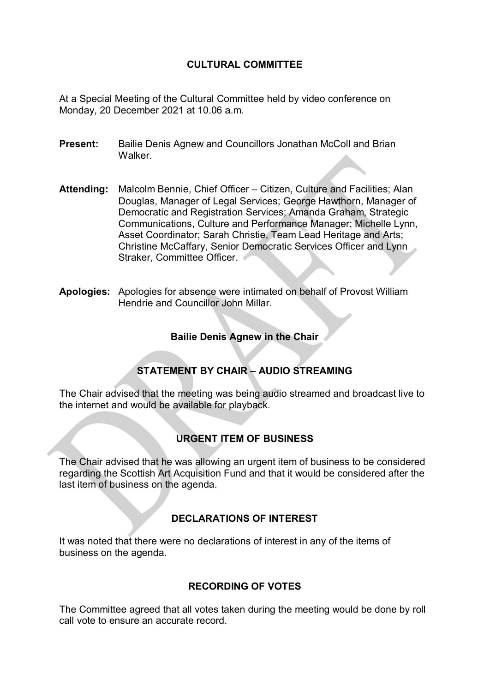## **CULTURAL COMMITTEE**

At a Special Meeting of the Cultural Committee held by video conference on Monday, 20 December 2021 at 10.06 a.m.

- **Present:** Bailie Denis Agnew and Councillors Jonathan McColl and Brian **Walker**
- **Attending:** Malcolm Bennie, Chief Officer Citizen, Culture and Facilities; Alan Douglas, Manager of Legal Services; George Hawthorn, Manager of Democratic and Registration Services; Amanda Graham, Strategic Communications, Culture and Performance Manager; Michelle Lynn, Asset Coordinator; Sarah Christie, Team Lead Heritage and Arts; Christine McCaffary, Senior Democratic Services Officer and Lynn Straker, Committee Officer.
- **Apologies:** Apologies for absence were intimated on behalf of Provost William Hendrie and Councillor John Millar.

#### **Bailie Denis Agnew in the Chair**

## **STATEMENT BY CHAIR – AUDIO STREAMING**

The Chair advised that the meeting was being audio streamed and broadcast live to the internet and would be available for playback.

### **URGENT ITEM OF BUSINESS**

The Chair advised that he was allowing an urgent item of business to be considered regarding the Scottish Art Acquisition Fund and that it would be considered after the last item of business on the agenda.

### **DECLARATIONS OF INTEREST**

It was noted that there were no declarations of interest in any of the items of business on the agenda.

### **RECORDING OF VOTES**

The Committee agreed that all votes taken during the meeting would be done by roll call vote to ensure an accurate record.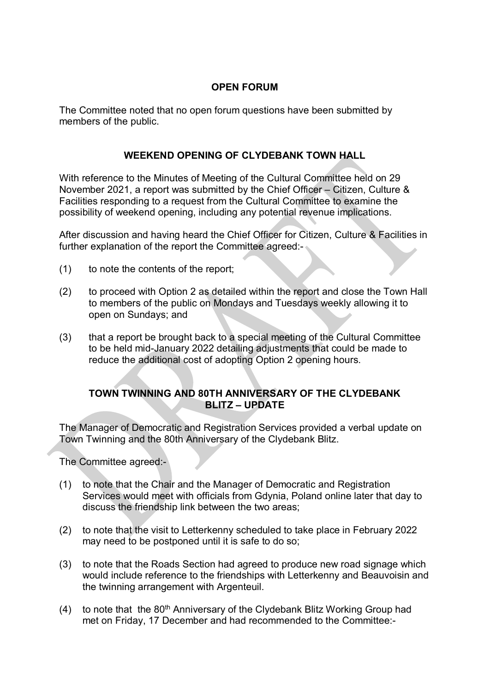## **OPEN FORUM**

The Committee noted that no open forum questions have been submitted by members of the public.

## **WEEKEND OPENING OF CLYDEBANK TOWN HALL**

With reference to the Minutes of Meeting of the Cultural Committee held on 29 November 2021, a report was submitted by the Chief Officer – Citizen, Culture & Facilities responding to a request from the Cultural Committee to examine the possibility of weekend opening, including any potential revenue implications.

After discussion and having heard the Chief Officer for Citizen, Culture & Facilities in further explanation of the report the Committee agreed:-

- (1) to note the contents of the report;
- (2) to proceed with Option 2 as detailed within the report and close the Town Hall to members of the public on Mondays and Tuesdays weekly allowing it to open on Sundays; and
- (3) that a report be brought back to a special meeting of the Cultural Committee to be held mid-January 2022 detailing adjustments that could be made to reduce the additional cost of adopting Option 2 opening hours.

## **TOWN TWINNING AND 80TH ANNIVERSARY OF THE CLYDEBANK BLITZ – UPDATE**

The Manager of Democratic and Registration Services provided a verbal update on Town Twinning and the 80th Anniversary of the Clydebank Blitz.

The Committee agreed:-

- (1) to note that the Chair and the Manager of Democratic and Registration Services would meet with officials from Gdynia, Poland online later that day to discuss the friendship link between the two areas;
- (2) to note that the visit to Letterkenny scheduled to take place in February 2022 may need to be postponed until it is safe to do so;
- (3) to note that the Roads Section had agreed to produce new road signage which would include reference to the friendships with Letterkenny and Beauvoisin and the twinning arrangement with Argenteuil.
- (4) to note that the  $80<sup>th</sup>$  Anniversary of the Clydebank Blitz Working Group had met on Friday, 17 December and had recommended to the Committee:-